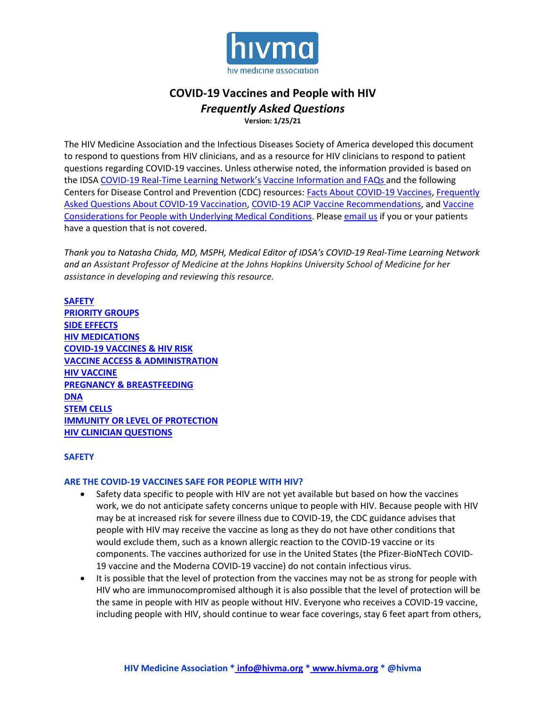

# **COVID-19 Vaccines and People with HIV** *Frequently Asked Questions*

**Version: 1/25/21**

The HIV Medicine Association and the Infectious Diseases Society of America developed this document to respond to questions from HIV clinicians, and as a resource for HIV clinicians to respond to patient questions regarding COVID-19 vaccines. Unless otherwise noted, the information provided is based on the IDSA [COVID-19 Real-Time Learning Network's](https://www.idsociety.org/covid-19-real-time-learning-network/) [Vaccine Information and FAQs a](https://www.idsociety.org/covid-19-real-time-learning-network/vaccines/vaccines-information--faq/)nd the following Centers for Disease Control and Prevention (CDC) resources: Facts About COVID-19 Vaccines, [Frequently](https://www.cdc.gov/coronavirus/2019-ncov/vaccines/faq.html)  [Asked Questions About COVID-19 Vaccination,](https://www.cdc.gov/coronavirus/2019-ncov/vaccines/faq.html) [COVID-19 ACIP Vaccine Recommendations,](https://www.cdc.gov/vaccines/hcp/acip-recs/vacc-specific/covid-19.html) and [Vaccine](https://www.cdc.gov/coronavirus/2019-ncov/vaccines/recommendations/underlying-conditions.html)  [Considerations for People with Underlying Medical Conditions.](https://www.cdc.gov/coronavirus/2019-ncov/vaccines/recommendations/underlying-conditions.html) Please [email](mailto:info@hivma.org?subject=COVID-19%20Question) us if you or your patients have a question that is not covered.

*Thank you to Natasha Chida, MD, MSPH, Medical Editor of IDSA's COVID-19 Real-Time Learning Network and an Assistant Professor of Medicine at the Johns Hopkins University School of Medicine for her assistance in developing and reviewing this resource.*

<span id="page-0-0"></span>**[SAFETY](#page-0-0) [PRIORITY GROUPS](#page-1-0) [SIDE EFFECTS](#page-1-1) [HIV MEDICATIONS](#page-2-0) [COVID-19 VACCINES & HIV RISK](#page-3-0) [VACCINE ACCESS & ADMINISTRATION](#page-3-1) [HIV VACCINE](#page-4-0) [PREGNANCY & BREASTFEEDING](#page-4-1) [DNA](#page-5-0) [STEM CELLS](#page-5-1) [IMMUNITY OR LEVEL OF PROTECTION](#page-5-2) [HIV CLINICIAN QUESTIONS](#page-6-0)**

# **SAFETY**

### **ARE THE COVID-19 VACCINES SAFE FOR PEOPLE WITH HIV?**

- Safety data specific to people with HIV are not yet available but based on how the vaccines work, we do not anticipate safety concerns unique to people with HIV. Because people with HIV may be at increased risk for severe illness due to COVID-19, the CDC guidance advises that people with HIV may receive the vaccine as long as they do not have other conditions that would exclude them, such as a known allergic reaction to the COVID-19 vaccine or its components. The vaccines authorized for use in the United States (the Pfizer-BioNTech COVID-19 vaccine and the Moderna COVID-19 vaccine) do not contain infectious virus.
- It is possible that the level of protection from the vaccines may not be as strong for people with HIV who are immunocompromised although it is also possible that the level of protection will be the same in people with HIV as people without HIV. Everyone who receives a COVID-19 vaccine, including people with HIV, should continue to wear face coverings, stay 6 feet apart from others,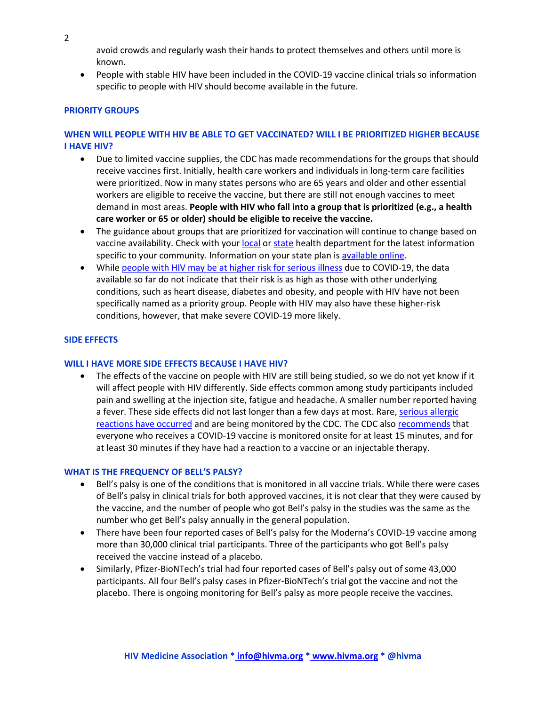2

avoid crowds and regularly wash their hands to protect themselves and others until more is known.

• People with stable HIV have been included in the COVID-19 vaccine clinical trials so information specific to people with HIV should become available in the future.

### <span id="page-1-0"></span>**PRIORITY GROUPS**

# **WHEN WILL PEOPLE WITH HIV BE ABLE TO GET VACCINATED? WILL I BE PRIORITIZED HIGHER BECAUSE I HAVE HIV?**

- Due to limited vaccine supplies, the CDC has made recommendations for the groups that should receive vaccines first. Initially, health care workers and individuals in long-term care facilities were prioritized. Now in many states persons who are 65 years and older and other essential workers are eligible to receive the vaccine, but there are still not enough vaccines to meet demand in most areas. **People with HIV who fall into a group that is prioritized (e.g., a health care worker or 65 or older) should be eligible to receive the vaccine.**
- The guidance about groups that are prioritized for vaccination will continue to change based on vaccine availability. Check with you[r local](https://www.naccho.org/membership/lhd-directory) or [state](https://www.cdc.gov/publichealthgateway/healthdirectories/healthdepartments.html) health department for the latest information specific to your community. Information on your state plan i[s available online.](https://www.kff.org/coronavirus-covid-19/issue-brief/the-covid-19-vaccination-line-an-update-on-state-prioritization-plans/)
- Whil[e people with HIV may be at higher risk for serious illness](https://www.cdc.gov/coronavirus/2019-ncov/need-extra-precautions/people-with-medical-conditions.html) due to COVID-19, the data available so far do not indicate that their risk is as high as those with other underlying conditions, such as heart disease, diabetes and obesity, and people with HIV have not been specifically named as a priority group. People with HIV may also have these higher-risk conditions, however, that make severe COVID-19 more likely.

### <span id="page-1-1"></span>**SIDE EFFECTS**

#### **WILL I HAVE MORE SIDE EFFECTS BECAUSE I HAVE HIV?**

• The effects of the vaccine on people with HIV are still being studied, so we do not yet know if it will affect people with HIV differently. Side effects common among study participants included pain and swelling at the injection site, fatigue and headache. A smaller number reported having a fever. These side effects did not last longer than a few days at most. Rare, serious allergic [reactions have occurred](https://www.cdc.gov/coronavirus/2019-ncov/vaccines/safety/allergic-reaction.html) and are being monitored by the CDC. The CDC als[o recommends](https://www.cdc.gov/coronavirus/2019-ncov/vaccines/safety/allergic-reaction.html) that everyone who receives a COVID-19 vaccine is monitored onsite for at least 15 minutes, and for at least 30 minutes if they have had a reaction to a vaccine or an injectable therapy.

#### **WHAT IS THE FREQUENCY OF BELL'S PALSY?**

- Bell's palsy is one of the conditions that is monitored in all vaccine trials. While there were cases of Bell's palsy in clinical trials for both approved vaccines, it is not clear that they were caused by the vaccine, and the number of people who got Bell's palsy in the studies was the same as the number who get Bell's palsy annually in the general population.
- There have been four reported cases of Bell's palsy for the Moderna's COVID-19 vaccine among more than 30,000 clinical trial participants. Three of the participants who got Bell's palsy received the vaccine instead of a placebo.
- Similarly, Pfizer-BioNTech's trial had four reported cases of Bell's palsy out of some 43,000 participants. All four Bell's palsy cases in Pfizer-BioNTech's trial got the vaccine and not the placebo. There is ongoing monitoring for Bell's palsy as more people receive the vaccines.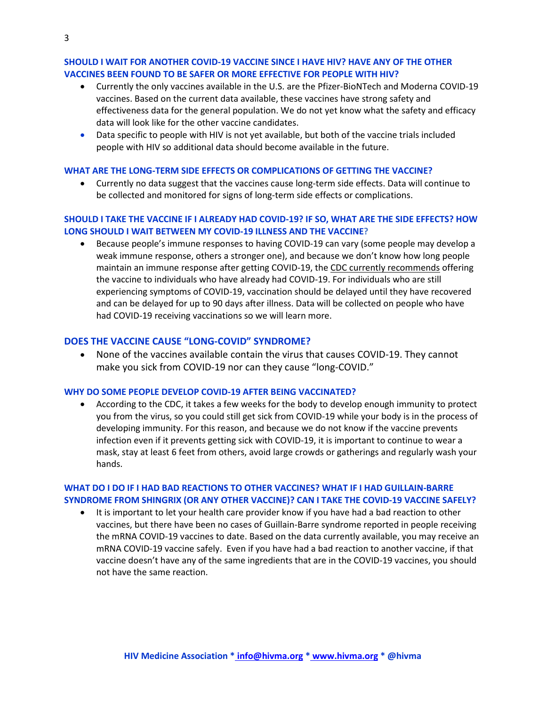### **SHOULD I WAIT FOR ANOTHER COVID-19 VACCINE SINCE I HAVE HIV? HAVE ANY OF THE OTHER VACCINES BEEN FOUND TO BE SAFER OR MORE EFFECTIVE FOR PEOPLE WITH HIV?**

- Currently the only vaccines available in the U.S. are the Pfizer-BioNTech and Moderna COVID-19 vaccines. Based on the current data available, these vaccines have strong safety and effectiveness data for the general population. We do not yet know what the safety and efficacy data will look like for the other vaccine candidates.
- Data specific to people with HIV is not yet available, but both of the vaccine trials included people with HIV so additional data should become available in the future.

#### **WHAT ARE THE LONG-TERM SIDE EFFECTS OR COMPLICATIONS OF GETTING THE VACCINE?**

• Currently no data suggest that the vaccines cause long-term side effects. Data will continue to be collected and monitored for signs of long-term side effects or complications.

# **SHOULD I TAKE THE VACCINE IF I ALREADY HAD COVID-19? IF SO, WHAT ARE THE SIDE EFFECTS? HOW LONG SHOULD I WAIT BETWEEN MY COVID-19 ILLNESS AND THE VACCINE?**

• Because people's immune responses to having COVID-19 can vary (some people may develop a weak immune response, others a stronger one), and because we don't know how long people maintain an immune response after getting COVID-19, th[e CDC currently recommends](https://www.cdc.gov/vaccines/covid-19/info-by-product/pfizer/clinical-considerations.html?CDC_AA_refVal=https%3A%2F%2Fwww.cdc.gov%2Fvaccines%2Fcovid-19%2Finfo-by-manufacturer%2Fpfizer%2Fclinical-considerations.html#vaccination-special-populations) offering the vaccine to individuals who have already had COVID-19. For individuals who are still experiencing symptoms of COVID-19, vaccination should be delayed until they have recovered and can be delayed for up to 90 days after illness. Data will be collected on people who have had COVID-19 receiving vaccinations so we will learn more.

# **DOES THE VACCINE CAUSE "LONG-COVID" SYNDROME?**

• None of the vaccines available contain the virus that causes COVID-19. They cannot make you sick from COVID-19 nor can they cause "long-COVID."

### **WHY DO SOME PEOPLE DEVELOP COVID-19 AFTER BEING VACCINATED?**

• According to the CDC, it takes a few weeks for the body to develop enough immunity to protect you from the virus, so you could still get sick from COVID-19 while your body is in the process of developing immunity. For this reason, and because we do not know if the vaccine prevents infection even if it prevents getting sick with COVID-19, it is important to continue to wear a mask, stay at least 6 feet from others, avoid large crowds or gatherings and regularly wash your hands.

# **WHAT DO I DO IF I HAD BAD REACTIONS TO OTHER VACCINES? WHAT IF I HAD GUILLAIN-BARRE SYNDROME FROM SHINGRIX (OR ANY OTHER VACCINE)? CAN I TAKE THE COVID-19 VACCINE SAFELY?**

<span id="page-2-0"></span>• It is important to let your health care provider know if you have had a bad reaction to other vaccines, but there have been no cases of Guillain-Barre syndrome reported in people receiving the mRNA COVID-19 vaccines to date. Based on the data currently available, you may receive an mRNA COVID-19 vaccine safely. Even if you have had a bad reaction to another vaccine, if that vaccine doesn't have any of the same ingredients that are in the COVID-19 vaccines, you should not have the same reaction.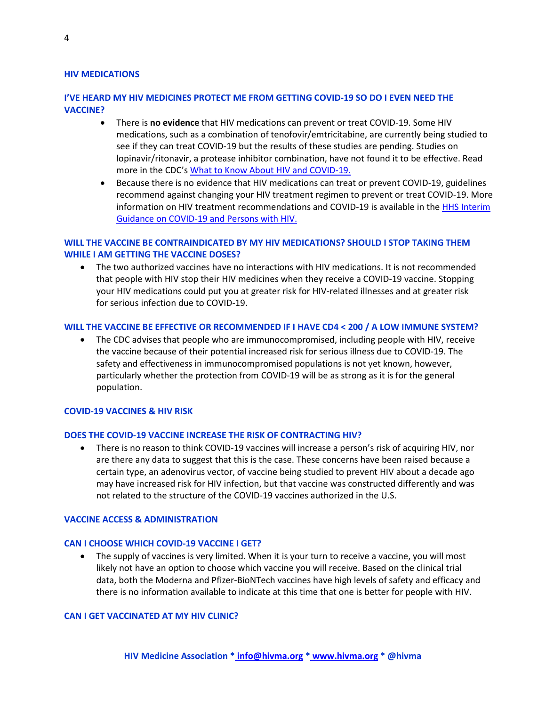#### **HIV MEDICATIONS**

# **I'VE HEARD MY HIV MEDICINES PROTECT ME FROM GETTING COVID-19 SO DO I EVEN NEED THE VACCINE?**

- There is **no evidence** that HIV medications can prevent or treat COVID-19. Some HIV medications, such as a combination of tenofovir/emtricitabine, are currently being studied to see if they can treat COVID-19 but the results of these studies are pending. Studies on lopinavir/ritonavir, a protease inhibitor combination, have not found it to be effective. Read more in the CDC's [What to Know About HIV and COVID-19.](https://www.cdc.gov/coronavirus/2019-ncov/need-extra-precautions/hiv.html?CDC_AA_refVal=https%3A%2F%2Fwww.cdc.gov%2Fcoronavirus%2F2019-ncov%2Fspecific-groups%2Fhiv.html)
- Because there is no evidence that HIV medications can treat or prevent COVID-19, guidelines recommend against changing your HIV treatment regimen to prevent or treat COVID-19. More information on HIV treatment recommendations and COVID-19 is available in the [HHS Interim](https://aidsinfo.nih.gov/guidelines/html/8/covid-19-and-persons-with-hiv--interim-guidance-/554/interim-guidance-for-covid-19-and-persons-with-hiv)  [Guidance on COVID-19 and Persons with HIV.](https://aidsinfo.nih.gov/guidelines/html/8/covid-19-and-persons-with-hiv--interim-guidance-/554/interim-guidance-for-covid-19-and-persons-with-hiv)

# **WILL THE VACCINE BE CONTRAINDICATED BY MY HIV MEDICATIONS? SHOULD I STOP TAKING THEM WHILE I AM GETTING THE VACCINE DOSES?**

• The two authorized vaccines have no interactions with HIV medications. It is not recommended that people with HIV stop their HIV medicines when they receive a COVID-19 vaccine. Stopping your HIV medications could put you at greater risk for HIV-related illnesses and at greater risk for serious infection due to COVID-19.

#### **WILL THE VACCINE BE EFFECTIVE OR RECOMMENDED IF I HAVE CD4 < 200 / A LOW IMMUNE SYSTEM?**

• The CDC advises that people who are immunocompromised, including people with HIV, receive the vaccine because of their potential increased risk for serious illness due to COVID-19. The safety and effectiveness in immunocompromised populations is not yet known, however, particularly whether the protection from COVID-19 will be as strong as it is for the general population.

#### <span id="page-3-0"></span>**COVID-19 VACCINES & HIV RISK**

#### **DOES THE COVID-19 VACCINE INCREASE THE RISK OF CONTRACTING HIV?**

• There is no reason to think COVID-19 vaccines will increase a person's risk of acquiring HIV, nor are there any data to suggest that this is the case. These concerns have been raised because a certain type, an adenovirus vector, of vaccine being studied to prevent HIV about a decade ago may have increased risk for HIV infection, but that vaccine was constructed differently and was not related to the structure of the COVID-19 vaccines authorized in the U.S.

### <span id="page-3-1"></span>**VACCINE ACCESS & ADMINISTRATION**

#### **CAN I CHOOSE WHICH COVID-19 VACCINE I GET?**

• The supply of vaccines is very limited. When it is your turn to receive a vaccine, you will most likely not have an option to choose which vaccine you will receive. Based on the clinical trial data, both the Moderna and Pfizer-BioNTech vaccines have high levels of safety and efficacy and there is no information available to indicate at this time that one is better for people with HIV.

#### **CAN I GET VACCINATED AT MY HIV CLINIC?**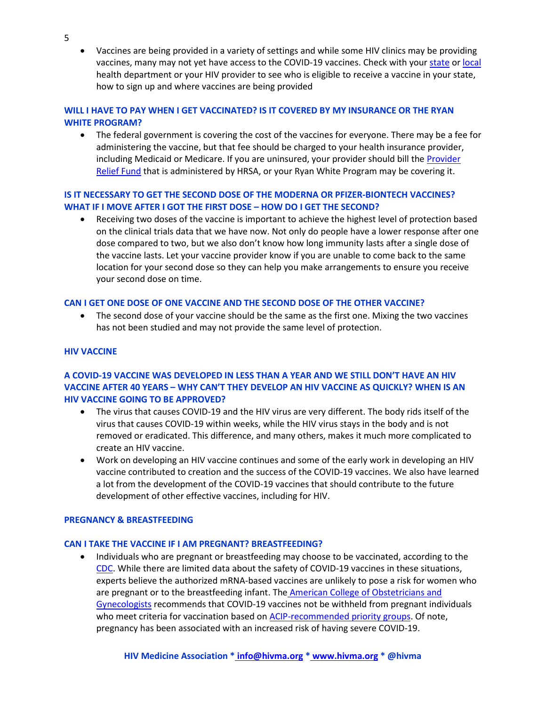• Vaccines are being provided in a variety of settings and while some HIV clinics may be providing vaccines, many may not yet have access to the COVID-19 vaccines. Check with your [state](https://www.cdc.gov/publichealthgateway/healthdirectories/healthdepartments.html) or [local](https://www.naccho.org/membership/lhd-directory) health department or your HIV provider to see who is eligible to receive a vaccine in your state, how to sign up and where vaccines are being provided

# **WILL I HAVE TO PAY WHEN I GET VACCINATED? IS IT COVERED BY MY INSURANCE OR THE RYAN WHITE PROGRAM?**

• The federal government is covering the cost of the vaccines for everyone. There may be a fee for administering the vaccine, but that fee should be charged to your health insurance provider, including Medicaid or Medicare. If you are uninsured, your provider should bill the [Provider](https://www.hrsa.gov/CovidUninsuredClaim)  [Relief Fund](https://www.hrsa.gov/CovidUninsuredClaim) that is administered by HRSA, or your Ryan White Program may be covering it.

# **IS IT NECESSARY TO GET THE SECOND DOSE OF THE MODERNA OR PFIZER-BIONTECH VACCINES? WHAT IF I MOVE AFTER I GOT THE FIRST DOSE – HOW DO I GET THE SECOND?**

• Receiving two doses of the vaccine is important to achieve the highest level of protection based on the clinical trials data that we have now. Not only do people have a lower response after one dose compared to two, but we also don't know how long immunity lasts after a single dose of the vaccine lasts. Let your vaccine provider know if you are unable to come back to the same location for your second dose so they can help you make arrangements to ensure you receive your second dose on time.

# **CAN I GET ONE DOSE OF ONE VACCINE AND THE SECOND DOSE OF THE OTHER VACCINE?**

• The second dose of your vaccine should be the same as the first one. Mixing the two vaccines has not been studied and may not provide the same level of protection.

# <span id="page-4-0"></span>**HIV VACCINE**

# **A COVID-19 VACCINE WAS DEVELOPED IN LESS THAN A YEAR AND WE STILL DON'T HAVE AN HIV VACCINE AFTER 40 YEARS – WHY CAN'T THEY DEVELOP AN HIV VACCINE AS QUICKLY? WHEN IS AN HIV VACCINE GOING TO BE APPROVED?**

- The virus that causes COVID-19 and the HIV virus are very different. The body rids itself of the virus that causes COVID-19 within weeks, while the HIV virus stays in the body and is not removed or eradicated. This difference, and many others, makes it much more complicated to create an HIV vaccine.
- Work on developing an HIV vaccine continues and some of the early work in developing an HIV vaccine contributed to creation and the success of the COVID-19 vaccines. We also have learned a lot from the development of the COVID-19 vaccines that should contribute to the future development of other effective vaccines, including for HIV.

#### <span id="page-4-1"></span>**PREGNANCY & BREASTFEEDING**

#### **CAN I TAKE THE VACCINE IF I AM PREGNANT? BREASTFEEDING?**

• Individuals who are pregnant or breastfeeding may choose to be vaccinated, according to the [CDC.](https://www.cdc.gov/coronavirus/2019-ncov/vaccines/recommendations/pregnancy.html) While there are limited data about the safety of COVID-19 vaccines in these situations, experts believe the authorized mRNA-based vaccines are unlikely to pose a risk for women who are pregnant or to the breastfeeding infant. The American College of Obstetricians and [Gynecologists](https://www.acog.org/clinical/clinical-guidance/practice-advisory/articles/2020/12/vaccinating-pregnant-and-lactating-patients-against-covid-19) recommends that COVID-19 vaccines not be withheld from pregnant individuals who meet criteria for vaccination based on [ACIP-recommended priority groups.](https://www.cdc.gov/vaccines/hcp/acip-recs/vacc-specific/covid-19.html) Of note, pregnancy has been associated with an increased risk of having severe COVID-19.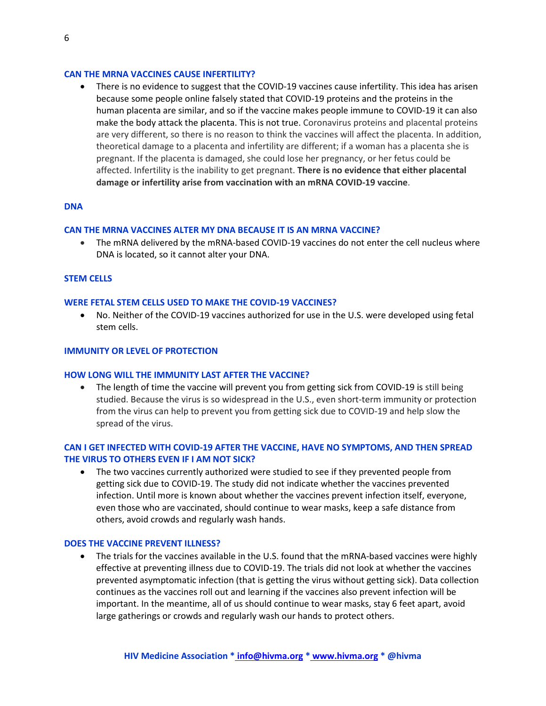#### **CAN THE MRNA VACCINES CAUSE INFERTILITY?**

• There is no evidence to suggest that the COVID-19 vaccines cause infertility. This idea has arisen because some people online falsely stated that COVID-19 proteins and the proteins in the human placenta are similar, and so if the vaccine makes people immune to COVID-19 it can also make the body attack the placenta. This is not true. Coronavirus proteins and placental proteins are very different, so there is no reason to think the vaccines will affect the placenta. In addition, theoretical damage to a placenta and infertility are different; if a woman has a placenta she is pregnant. If the placenta is damaged, she could lose her pregnancy, or her fetus could be affected. Infertility is the inability to get pregnant. **There is no evidence that either placental damage or infertility arise from vaccination with an mRNA COVID-19 vaccine**.

### <span id="page-5-0"></span>**DNA**

#### **CAN THE MRNA VACCINES ALTER MY DNA BECAUSE IT IS AN MRNA VACCINE?**

• The mRNA delivered by the mRNA-based COVID-19 vaccines do not enter the cell nucleus where DNA is located, so it cannot alter your DNA.

#### <span id="page-5-1"></span>**STEM CELLS**

#### **WERE FETAL STEM CELLS USED TO MAKE THE COVID-19 VACCINES?**

• No. Neither of the COVID-19 vaccines authorized for use in the U.S. were developed using fetal stem cells.

#### <span id="page-5-2"></span>**IMMUNITY OR LEVEL OF PROTECTION**

#### **HOW LONG WILL THE IMMUNITY LAST AFTER THE VACCINE?**

• The length of time the vaccine will prevent you from getting sick from COVID-19 is still being studied. Because the virus is so widespread in the U.S., even short-term immunity or protection from the virus can help to prevent you from getting sick due to COVID-19 and help slow the spread of the virus.

### **CAN I GET INFECTED WITH COVID-19 AFTER THE VACCINE, HAVE NO SYMPTOMS, AND THEN SPREAD THE VIRUS TO OTHERS EVEN IF I AM NOT SICK?**

• The two vaccines currently authorized were studied to see if they prevented people from getting sick due to COVID-19. The study did not indicate whether the vaccines prevented infection. Until more is known about whether the vaccines prevent infection itself, everyone, even those who are vaccinated, should continue to wear masks, keep a safe distance from others, avoid crowds and regularly wash hands.

#### **DOES THE VACCINE PREVENT ILLNESS?**

• The trials for the vaccines available in the U.S. found that the mRNA-based vaccines were highly effective at preventing illness due to COVID-19. The trials did not look at whether the vaccines prevented asymptomatic infection (that is getting the virus without getting sick). Data collection continues as the vaccines roll out and learning if the vaccines also prevent infection will be important. In the meantime, all of us should continue to wear masks, stay 6 feet apart, avoid large gatherings or crowds and regularly wash our hands to protect others.